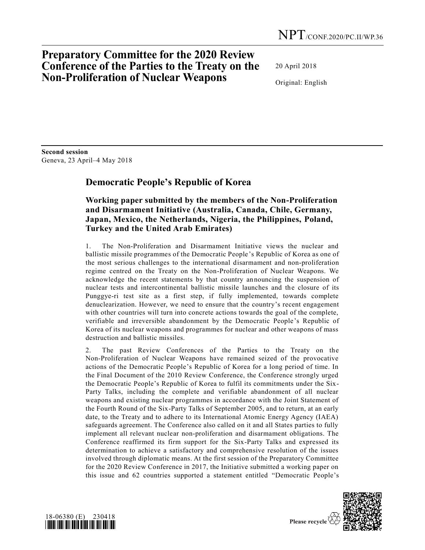## **Preparatory Committee for the 2020 Review Conference of the Parties to the Treaty on the Non-Proliferation of Nuclear Weapons**

20 April 2018

Original: English

**Second session**  Geneva, 23 April–4 May 2018

## **Democratic People's Republic of Korea**

## **Working paper submitted by the members of the Non-Proliferation and Disarmament Initiative (Australia, Canada, Chile, Germany, Japan, Mexico, the Netherlands, Nigeria, the Philippines, Poland, Turkey and the United Arab Emirates)**

1. The Non-Proliferation and Disarmament Initiative views the nuclear and ballistic missile programmes of the Democratic People's Republic of Korea as one of the most serious challenges to the international disarmament and non-proliferation regime centred on the Treaty on the Non-Proliferation of Nuclear Weapons. We acknowledge the recent statements by that country announcing the suspension of nuclear tests and intercontinental ballistic missile launches and the closure of its Punggye-ri test site as a first step, if fully implemented, towards complete denuclearization. However, we need to ensure that the country's recent engagement with other countries will turn into concrete actions towards the goal of the complete, verifiable and irreversible abandonment by the Democratic People's Republic of Korea of its nuclear weapons and programmes for nuclear and other weapons of mass destruction and ballistic missiles.

2. The past Review Conferences of the Parties to the Treaty on the Non-Proliferation of Nuclear Weapons have remained seized of the provocative actions of the Democratic People's Republic of Korea for a long period of time. In the Final Document of the 2010 Review Conference, the Conference strongly urged the Democratic People's Republic of Korea to fulfil its commitments under the Six-Party Talks, including the complete and verifiable abandonment of all nuclear weapons and existing nuclear programmes in accordance with the Joint Statement of the Fourth Round of the Six-Party Talks of September 2005, and to return, at an early date, to the Treaty and to adhere to its International Atomic Energy Agency (IAEA) safeguards agreement. The Conference also called on it and all States parties to fully implement all relevant nuclear non-proliferation and disarmament obligations. The Conference reaffirmed its firm support for the Six-Party Talks and expressed its determination to achieve a satisfactory and comprehensive resolution of the issues involved through diplomatic means. At the first session of the Preparatory Committee for the 2020 Review Conference in 2017, the Initiative submitted a working paper on this issue and 62 countries supported a statement entitled "Democratic People's



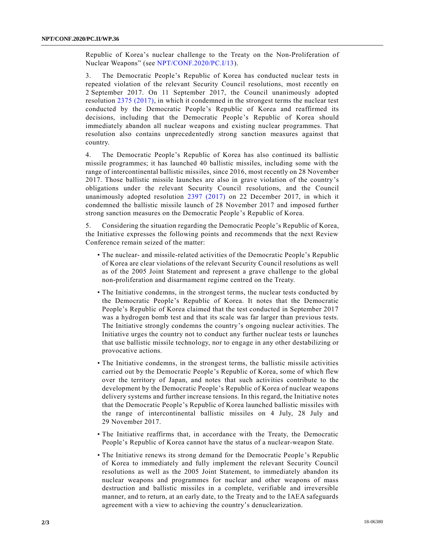Republic of Korea's nuclear challenge to the Treaty on the Non-Proliferation of Nuclear Weapons" (see [NPT/CONF.2020/PC.I/13\)](https://undocs.org/NPT/CONF.2020/PC.I/13).

3. The Democratic People's Republic of Korea has conducted nuclear tests in repeated violation of the relevant Security Council resolutions, most recently on 2 September 2017. On 11 September 2017, the Council unanimously adopted resolution [2375 \(2017\),](https://undocs.org/S/RES/2375(2017)) in which it condemned in the strongest terms the nuclear test conducted by the Democratic People's Republic of Korea and reaffirmed its decisions, including that the Democratic People's Republic of Korea should immediately abandon all nuclear weapons and existing nuclear programmes. That resolution also contains unprecedentedly strong sanction measures against that country.

4. The Democratic People's Republic of Korea has also continued its ballistic missile programmes; it has launched 40 ballistic missiles, including some with the range of intercontinental ballistic missiles, since 2016, most recently on 28 November 2017. Those ballistic missile launches are also in grave violation of the country's obligations under the relevant Security Council resolutions, and the Council unanimously adopted resolution [2397 \(2017\)](https://undocs.org/S/RES/2397(2017)) on 22 December 2017, in which it condemned the ballistic missile launch of 28 November 2017 and imposed further strong sanction measures on the Democratic People's Republic of Korea.

5. Considering the situation regarding the Democratic People's Republic of Korea, the Initiative expresses the following points and recommends that the next Review Conference remain seized of the matter:

- The nuclear- and missile-related activities of the Democratic People's Republic of Korea are clear violations of the relevant Security Council resolutions as well as of the 2005 Joint Statement and represent a grave challenge to the global non-proliferation and disarmament regime centred on the Treaty.
- The Initiative condemns, in the strongest terms, the nuclear tests conducted by the Democratic People's Republic of Korea. It notes that the Democratic People's Republic of Korea claimed that the test conducted in September 2017 was a hydrogen bomb test and that its scale was far larger than previous tests. The Initiative strongly condemns the country's ongoing nuclear activities. The Initiative urges the country not to conduct any further nuclear tests or launches that use ballistic missile technology, nor to engage in any other destabilizing or provocative actions.
- The Initiative condemns, in the strongest terms, the ballistic missile activities carried out by the Democratic People's Republic of Korea, some of which flew over the territory of Japan, and notes that such activities contribute to the development by the Democratic People's Republic of Korea of nuclear weapons delivery systems and further increase tensions. In this regard, the Initiative notes that the Democratic People's Republic of Korea launched ballistic missiles with the range of intercontinental ballistic missiles on 4 July, 28 July and 29 November 2017.
- The Initiative reaffirms that, in accordance with the Treaty, the Democratic People's Republic of Korea cannot have the status of a nuclear-weapon State.
- The Initiative renews its strong demand for the Democratic People 's Republic of Korea to immediately and fully implement the relevant Security Council resolutions as well as the 2005 Joint Statement, to immediately abandon its nuclear weapons and programmes for nuclear and other weapons of mass destruction and ballistic missiles in a complete, verifiable and irreversible manner, and to return, at an early date, to the Treaty and to the IAEA safeguards agreement with a view to achieving the country's denuclearization.